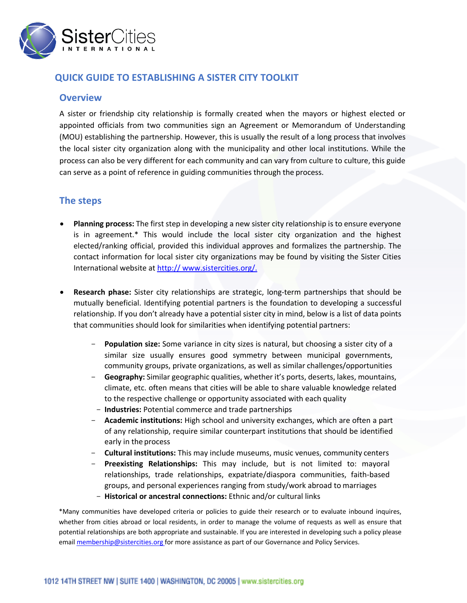

## **QUICK GUIDE TO ESTABLISHING A SISTER CITY TOOLKIT**

## **Overview**

A sister or friendship city relationship is formally created when the mayors or highest elected or appointed officials from two communities sign an Agreement or Memorandum of Understanding (MOU) establishing the partnership. However, this is usually the result of a long process that involves the local sister city organization along with the municipality and other local institutions. While the process can also be very different for each community and can vary from culture to culture, this guide can serve as a point of reference in guiding communities through the process.

## **The steps**

- **Planning process:** The first step in developing a new sister city relationship is to ensure everyone is in agreement.\* This would include the local sister city organization and the highest elected/ranking official, provided this individual approves and formalizes the partnership. The contact information for local sister city organizations may be found by visiting the Sister Cities International website at http:// www.sistercities.org/.
- **Research phase:** Sister city relationships are strategic, long-term partnerships that should be mutually beneficial. Identifying potential partners is the foundation to developing a successful relationship. If you don't already have a potential sister city in mind, below is a list of data points that communities should look for similarities when identifying potential partners:
	- Population size: Some variance in city sizes is natural, but choosing a sister city of a similar size usually ensures good symmetry between municipal governments, community groups, private organizations, as well as similar challenges/opportunities
	- **Geography:** Similar geographic qualities, whether it's ports, deserts, lakes, mountains, climate, etc. often means that cities will be able to share valuable knowledge related to the respective challenge or opportunity associated with each quality
	- **Industries:** Potential commerce and trade partnerships
	- **Academic institutions:** High school and university exchanges, which are often a part of any relationship, require similar counterpart institutions that should be identified early in the process
	- **Cultural institutions:** This may include museums, music venues, community centers
	- **Preexisting Relationships:** This may include, but is not limited to: mayoral relationships, trade relationships, expatriate/diaspora communities, faith-based groups, and personal experiences ranging from study/work abroad to marriages
	- **Historical or ancestral connections:** Ethnic and/or cultural links

\*Many communities have developed criteria or policies to guide their research or to evaluate inbound inquires, whether from cities abroad or local residents, in order to manage the volume of requests as well as ensure that potential relationships are both appropriate and sustainable. If you are interested in developing such a policy please email **membership@sistercities.org** for more assistance as part of our Governance and Policy Services.